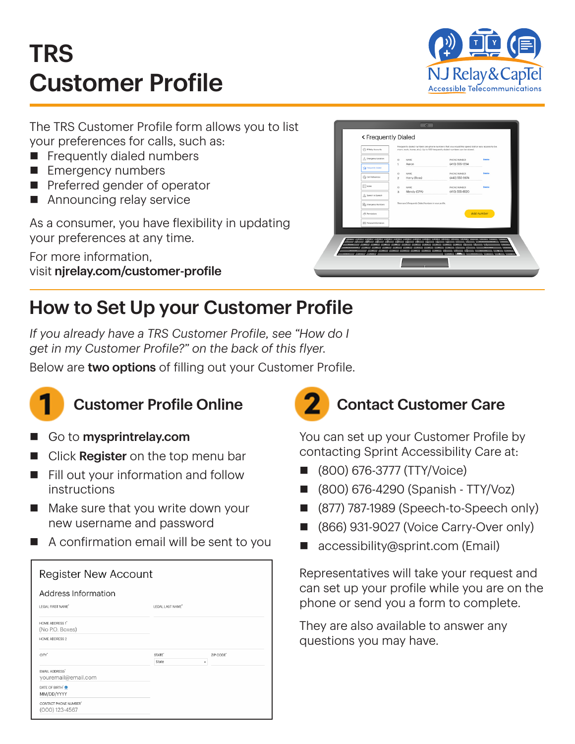# TRS Customer Profile



The TRS Customer Profile form allows you to list your preferences for calls, such as:

- $\blacksquare$  Frequently dialed numbers
- **Emergency numbers**
- **Perated gender of operator**
- $\blacksquare$  Announcing relay service

As a consumer, you have flexibility in updating your preferences at any time.

For more information, visit njrelay.com/customer-profile

| A Emergency Location                                     | $\circ$<br>1              | NAME.<br>Aaron                                         | PHONE NUMBER<br>(410) 555-1234 | Delete     |  |
|----------------------------------------------------------|---------------------------|--------------------------------------------------------|--------------------------------|------------|--|
| Ta Frequently Dialed<br><b>Cui Preferences</b>           | $\circ$<br>$\overline{2}$ | NAME.<br>Harry (Boss)                                  | PHONE NUMBER<br>(443) 555-9874 | Delete     |  |
| <b>EE</b> Notes                                          | $\mathbb{D}$              | <b>NAME</b>                                            | PHONE NUMBER                   | Delety     |  |
| Speech to Speech                                         | 3                         | Mandy (CPA)                                            | (410) 555-8520                 |            |  |
| <b>R<sub>D</sub></b> Emergency Numbers<br>r% Permissions |                           | There are 3 Frequently Dialed Numbers in your profile. |                                | Add number |  |
| (Eli) Personal Information                               |                           |                                                        |                                |            |  |
|                                                          |                           |                                                        |                                |            |  |

## How to Set Up your Customer Profile

*If you already have a TRS Customer Profile, see "How do I get in my Customer Profile?" on the back of this flyer.*

Below are two options of filling out your Customer Profile.



- Go to mysprintrelay.com
- $\blacksquare$  Click **Register** on the top menu bar
- $\blacksquare$  Fill out your information and follow instructions
- $\blacksquare$  Make sure that you write down your new username and password
- $\blacksquare$  A confirmation email will be sent to you

| <b>Register New Account</b>                 |                             |                |  |
|---------------------------------------------|-----------------------------|----------------|--|
| Address Information                         |                             |                |  |
| LEGAL FIRST NAME <sup>*</sup>               | LEGAL LAST NAME"            |                |  |
| <b>HOME ADDRESS 1'</b><br>(No P.O. Boxes)   |                             |                |  |
| <b>HOME ADDRESS 2</b>                       |                             |                |  |
| CITY <sup>*</sup>                           | STATE <sup>*</sup><br>State | ZIP CODE"<br>٠ |  |
| <b>EMAIL ADDRESS</b><br>youremail@email.com |                             |                |  |
| DATE OF BIRTH <sup>'</sup><br>MM/DD/YYYY    |                             |                |  |
| CONTACT PHONE NUMBER"<br>$(000)$ 123-4567   |                             |                |  |



You can set up your Customer Profile by contacting Sprint Accessibility Care at:

- n (800) 676-3777 (TTY/Voice)
- n (800) 676-4290 (Spanish TTY/Voz)
- (877) 787-1989 (Speech-to-Speech only)
- (866) 931-9027 (Voice Carry-Over only)
- $\blacksquare$  accessibility@sprint.com (Email)

Representatives will take your request and can set up your profile while you are on the phone or send you a form to complete.

They are also available to answer any questions you may have.